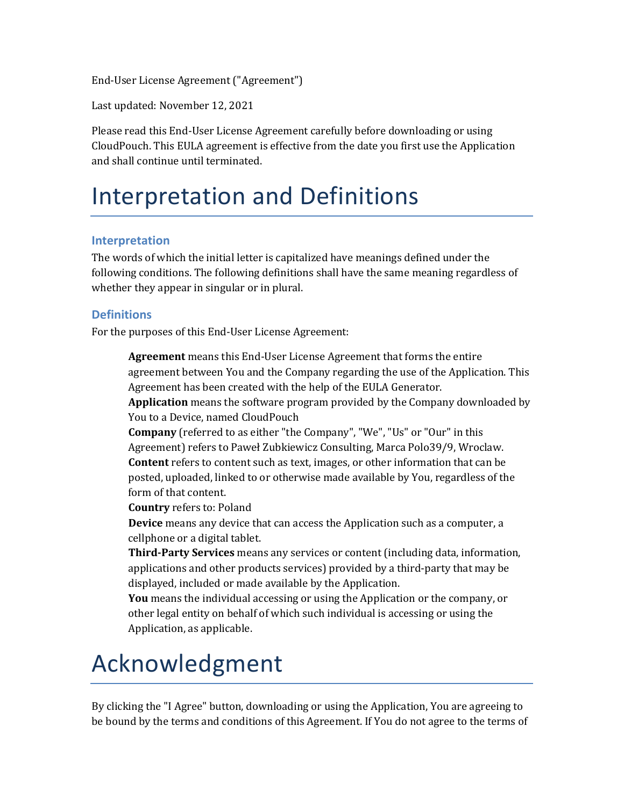End-User License Agreement ("Agreement")

Last updated: November 12, 2021

Please read this End-User License Agreement carefully before downloading or using CloudPouch. This EULA agreement is effective from the date you first use the Application and shall continue until terminated.

### Interpretation and Definitions

#### **Interpretation**

The words of which the initial letter is capitalized have meanings defined under the following conditions. The following definitions shall have the same meaning regardless of whether they appear in singular or in plural.

#### **Definitions**

For the purposes of this End-User License Agreement:

**Agreement** means this End-User License Agreement that forms the entire agreement between You and the Company regarding the use of the Application. This Agreement has been created with the help of the EULA Generator.

**Application** means the software program provided by the Company downloaded by You to a Device, named CloudPouch

**Company** (referred to as either "the Company", "We", "Us" or "Our" in this Agreement) refers to Paweł Zubkiewicz Consulting, Marca Polo39/9, Wroclaw. **Content** refers to content such as text, images, or other information that can be posted, uploaded, linked to or otherwise made available by You, regardless of the form of that content.

**Country** refers to: Poland

**Device** means any device that can access the Application such as a computer, a cellphone or a digital tablet.

Third-Party Services means any services or content (including data, information, applications and other products services) provided by a third-party that may be displayed, included or made available by the Application.

**You** means the individual accessing or using the Application or the company, or other legal entity on behalf of which such individual is accessing or using the Application, as applicable.

### Acknowledgment

By clicking the "I Agree" button, downloading or using the Application, You are agreeing to be bound by the terms and conditions of this Agreement. If You do not agree to the terms of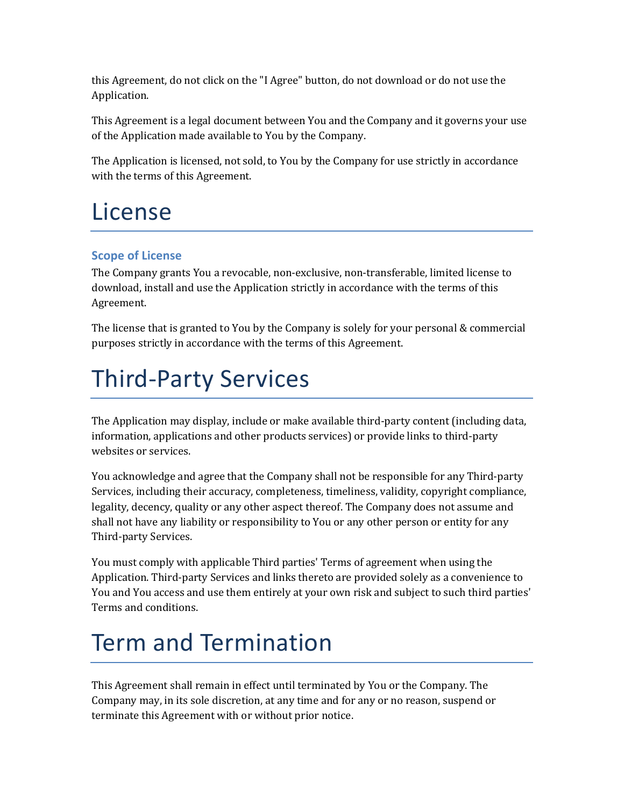this Agreement, do not click on the "I Agree" button, do not download or do not use the Application.

This Agreement is a legal document between You and the Company and it governs your use of the Application made available to You by the Company.

The Application is licensed, not sold, to You by the Company for use strictly in accordance with the terms of this Agreement.

### License

#### **Scope of License**

The Company grants You a revocable, non-exclusive, non-transferable, limited license to download, install and use the Application strictly in accordance with the terms of this Agreement.

The license that is granted to You by the Company is solely for your personal & commercial purposes strictly in accordance with the terms of this Agreement.

# Third-Party Services

The Application may display, include or make available third-party content (including data, information, applications and other products services) or provide links to third-party websites or services.

You acknowledge and agree that the Company shall not be responsible for any Third-party Services, including their accuracy, completeness, timeliness, validity, copyright compliance, legality, decency, quality or any other aspect thereof. The Company does not assume and shall not have any liability or responsibility to You or any other person or entity for any Third-party Services.

You must comply with applicable Third parties' Terms of agreement when using the Application. Third-party Services and links thereto are provided solely as a convenience to You and You access and use them entirely at your own risk and subject to such third parties' Terms and conditions.

# Term and Termination

This Agreement shall remain in effect until terminated by You or the Company. The Company may, in its sole discretion, at any time and for any or no reason, suspend or terminate this Agreement with or without prior notice.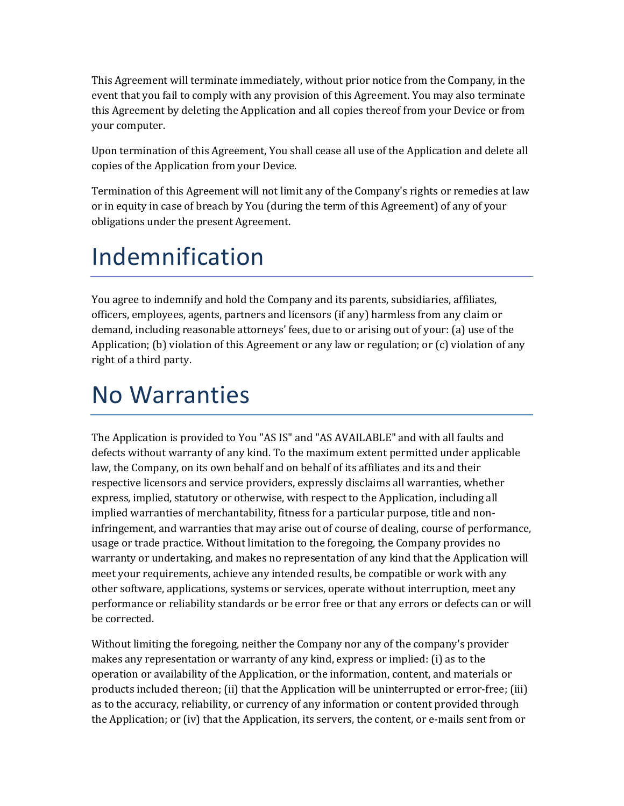This Agreement will terminate immediately, without prior notice from the Company, in the event that you fail to comply with any provision of this Agreement. You may also terminate this Agreement by deleting the Application and all copies thereof from your Device or from your computer.

Upon termination of this Agreement, You shall cease all use of the Application and delete all copies of the Application from your Device.

Termination of this Agreement will not limit any of the Company's rights or remedies at law or in equity in case of breach by You (during the term of this Agreement) of any of your obligations under the present Agreement.

# Indemnification

You agree to indemnify and hold the Company and its parents, subsidiaries, affiliates, officers, employees, agents, partners and licensors (if any) harmless from any claim or demand, including reasonable attorneys' fees, due to or arising out of your: (a) use of the Application; (b) violation of this Agreement or any law or regulation; or  $(c)$  violation of any right of a third party.

### No Warranties

The Application is provided to You "AS IS" and "AS AVAILABLE" and with all faults and defects without warranty of any kind. To the maximum extent permitted under applicable law, the Company, on its own behalf and on behalf of its affiliates and its and their respective licensors and service providers, expressly disclaims all warranties, whether express, implied, statutory or otherwise, with respect to the Application, including all implied warranties of merchantability, fitness for a particular purpose, title and noninfringement, and warranties that may arise out of course of dealing, course of performance, usage or trade practice. Without limitation to the foregoing, the Company provides no warranty or undertaking, and makes no representation of any kind that the Application will meet your requirements, achieve any intended results, be compatible or work with any other software, applications, systems or services, operate without interruption, meet any performance or reliability standards or be error free or that any errors or defects can or will be corrected.

Without limiting the foregoing, neither the Company nor any of the company's provider makes any representation or warranty of any kind, express or implied:  $(i)$  as to the operation or availability of the Application, or the information, content, and materials or products included thereon; (ii) that the Application will be uninterrupted or error-free; (iii) as to the accuracy, reliability, or currency of any information or content provided through the Application; or  $(iv)$  that the Application, its servers, the content, or e-mails sent from or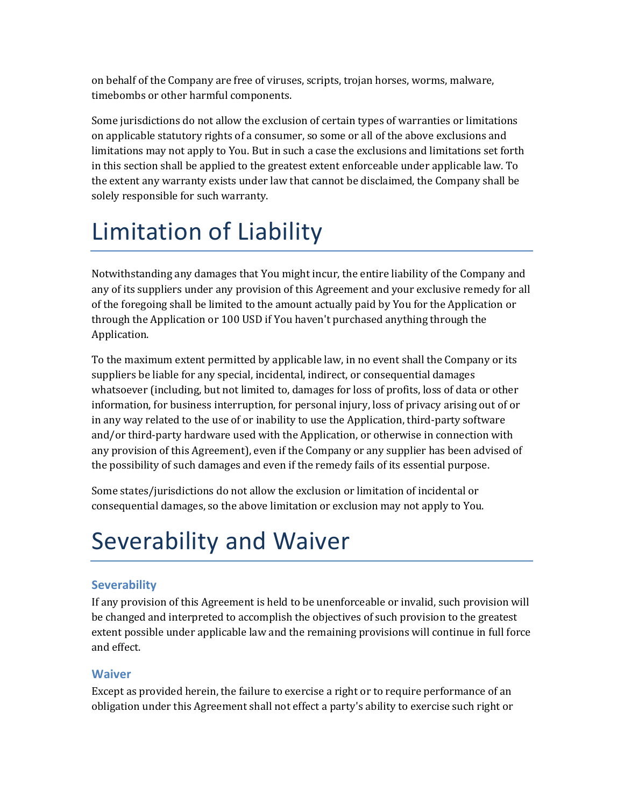on behalf of the Company are free of viruses, scripts, trojan horses, worms, malware, timebombs or other harmful components.

Some jurisdictions do not allow the exclusion of certain types of warranties or limitations on applicable statutory rights of a consumer, so some or all of the above exclusions and limitations may not apply to You. But in such a case the exclusions and limitations set forth in this section shall be applied to the greatest extent enforceable under applicable law. To the extent any warranty exists under law that cannot be disclaimed, the Company shall be solely responsible for such warranty.

# Limitation of Liability

Notwithstanding any damages that You might incur, the entire liability of the Company and any of its suppliers under any provision of this Agreement and your exclusive remedy for all of the foregoing shall be limited to the amount actually paid by You for the Application or through the Application or 100 USD if You haven't purchased anything through the Application.

To the maximum extent permitted by applicable law, in no event shall the Company or its suppliers be liable for any special, incidental, indirect, or consequential damages whatsoever (including, but not limited to, damages for loss of profits, loss of data or other information, for business interruption, for personal injury, loss of privacy arising out of or in any way related to the use of or inability to use the Application, third-party software and/or third-party hardware used with the Application, or otherwise in connection with any provision of this Agreement), even if the Company or any supplier has been advised of the possibility of such damages and even if the remedy fails of its essential purpose.

Some states/jurisdictions do not allow the exclusion or limitation of incidental or consequential damages, so the above limitation or exclusion may not apply to You.

# Severability and Waiver

### **Severability**

If any provision of this Agreement is held to be unenforceable or invalid, such provision will be changed and interpreted to accomplish the objectives of such provision to the greatest extent possible under applicable law and the remaining provisions will continue in full force and effect.

#### **Waiver**

Except as provided herein, the failure to exercise a right or to require performance of an obligation under this Agreement shall not effect a party's ability to exercise such right or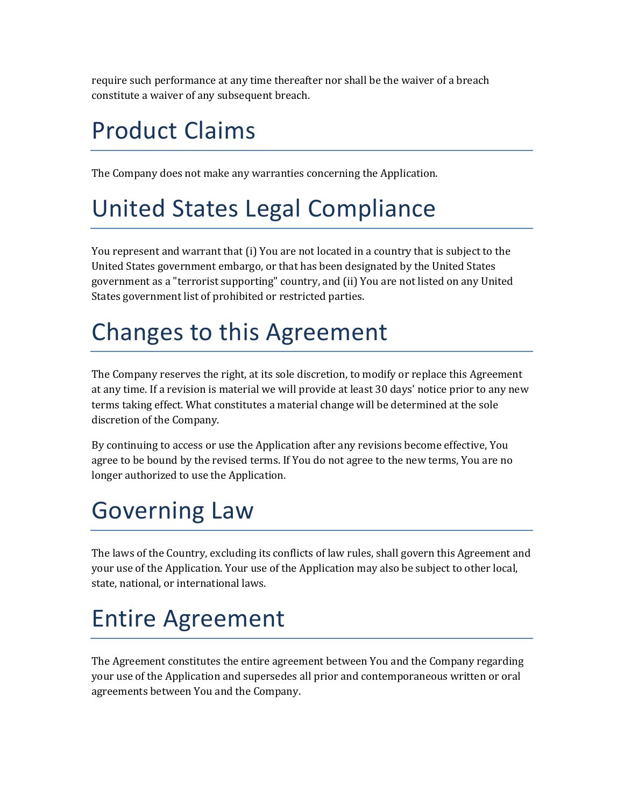require such performance at any time thereafter nor shall be the waiver of a breach constitute a waiver of any subsequent breach.

# Product Claims

The Company does not make any warranties concerning the Application.

## United States Legal Compliance

You represent and warrant that (i) You are not located in a country that is subject to the United States government embargo, or that has been designated by the United States government as a "terrorist supporting" country, and (ii) You are not listed on any United States government list of prohibited or restricted parties.

# Changes to this Agreement

The Company reserves the right, at its sole discretion, to modify or replace this Agreement at any time. If a revision is material we will provide at least 30 days' notice prior to any new terms taking effect. What constitutes a material change will be determined at the sole discretion of the Company.

By continuing to access or use the Application after any revisions become effective, You agree to be bound by the revised terms. If You do not agree to the new terms, You are no longer authorized to use the Application.

# Governing Law

The laws of the Country, excluding its conflicts of law rules, shall govern this Agreement and your use of the Application. Your use of the Application may also be subject to other local, state, national, or international laws.

# Entire Agreement

The Agreement constitutes the entire agreement between You and the Company regarding your use of the Application and supersedes all prior and contemporaneous written or oral agreements between You and the Company.